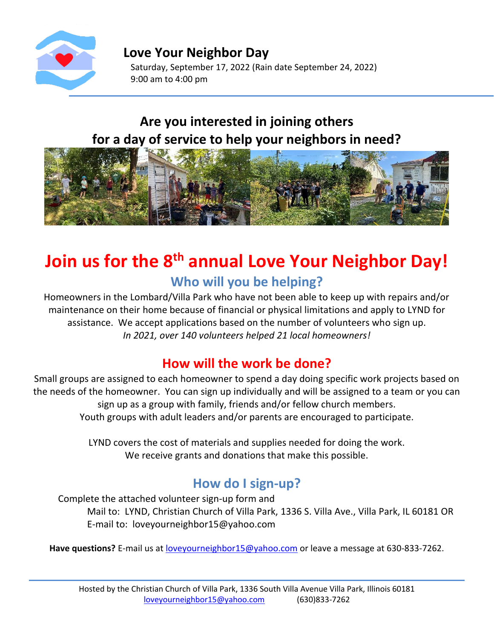

**Love Your Neighbor Day** Saturday, September 17, 2022 (Rain date September 24, 2022) 9:00 am to 4:00 pm

## **Are you interested in joining others for a day of service to help your neighbors in need?**



# **Join us for the 8 th annual Love Your Neighbor Day! Who will you be helping?**

Homeowners in the Lombard/Villa Park who have not been able to keep up with repairs and/or maintenance on their home because of financial or physical limitations and apply to LYND for assistance. We accept applications based on the number of volunteers who sign up. *In 2021, over 140 volunteers helped 21 local homeowners!*

## **How will the work be done?**

Small groups are assigned to each homeowner to spend a day doing specific work projects based on the needs of the homeowner. You can sign up individually and will be assigned to a team or you can sign up as a group with family, friends and/or fellow church members. Youth groups with adult leaders and/or parents are encouraged to participate.

> LYND covers the cost of materials and supplies needed for doing the work. We receive grants and donations that make this possible.

## **How do I sign-up?**

Complete the attached volunteer sign-up form and Mail to: LYND, Christian Church of Villa Park, 1336 S. Villa Ave., Villa Park, IL 60181 OR E-mail to: loveyourneighbor15@yahoo.com

Have questions? E-mail us at **loveyourneighbor15@yahoo.com** or leave a message at 630-833-7262.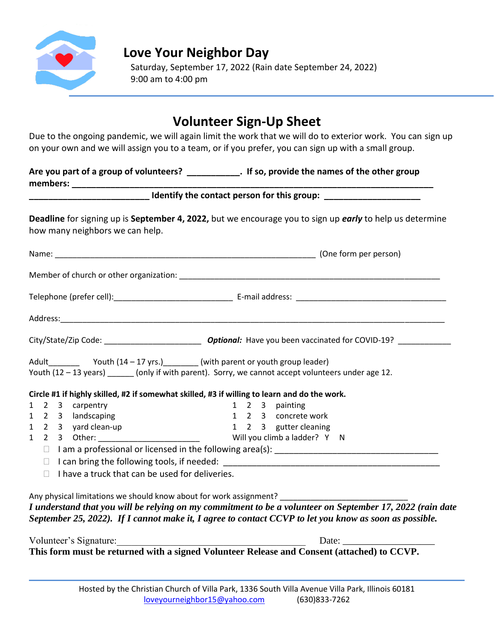

#### **Love Your Neighbor Day**

Saturday, September 17, 2022 (Rain date September 24, 2022) 9:00 am to 4:00 pm

## **Volunteer Sign-Up Sheet**

Due to the ongoing pandemic, we will again limit the work that we will do to exterior work. You can sign up on your own and we will assign you to a team, or if you prefer, you can sign up with a small group.

**Are you part of a group of volunteers? \_\_\_\_\_\_\_\_\_\_\_. If so, provide the names of the other group** members:

| Identify the contact person for this group: |  |
|---------------------------------------------|--|
|---------------------------------------------|--|

**Deadline** for signing up is **September 4, 2022,** but we encourage you to sign up *early* to help us determine how many neighbors we can help.

|  |                     | Youth (12 - 13 years) ______ (only if with parent). Sorry, we cannot accept volunteers under age 12. |
|--|---------------------|------------------------------------------------------------------------------------------------------|
|  |                     |                                                                                                      |
|  |                     | Circle #1 if highly skilled, #2 if somewhat skilled, #3 if willing to learn and do the work.         |
|  | 1 2 3 carpentry     |                                                                                                      |
|  | 1 2 3 landscaping   |                                                                                                      |
|  | 1 2 3 yard clean-up | 1 2 3 painting<br>1 2 3 concrete work<br>1 2 3 gutter cleaning                                       |
|  |                     |                                                                                                      |
|  |                     |                                                                                                      |

| Volunteer's Signature: | Date:                                                                                      |
|------------------------|--------------------------------------------------------------------------------------------|
|                        | This form must be returned with a signed Volunteer Release and Consent (attached) to CCVP. |